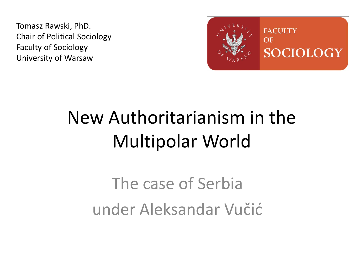Tomasz Rawski, PhD. Chair of Political Sociology Faculty of Sociology University of Warsaw



# New Authoritarianism in the Multipolar World

The case of Serbia under Aleksandar Vučić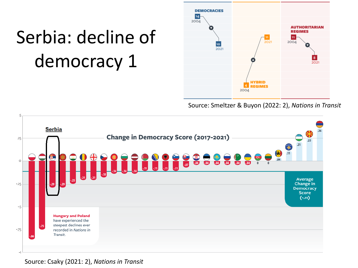# Serbia: decline of democracy 1



Source: Smeltzer & Buyon (2022: 2), *Nations in Transit* 



Source: Csaky (2021: 2), *Nations in Transit*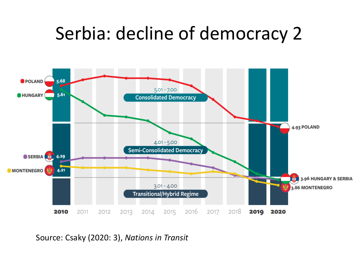## Serbia: decline of democracy 2



Source: Csaky (2020: 3), *Nations in Transit*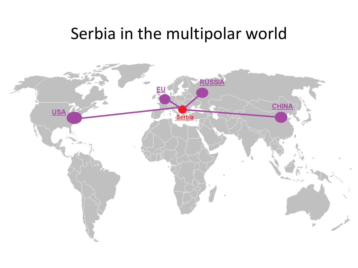### Serbia in the multipolar world

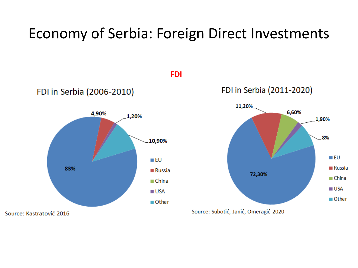#### Economy of Serbia: Foreign Direct Investments



**FDI**

1,90%

8%

 $\blacksquare$  EU

**Russia** 

 $\blacksquare$  China

 $\blacksquare$  USA

 $\blacksquare$  Other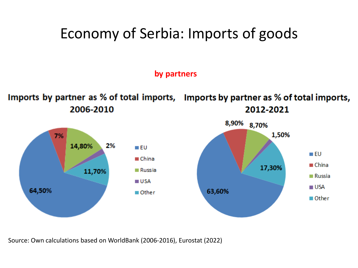#### Economy of Serbia: Imports of goods

**by partners**

Imports by partner as % of total imports, Imports by partner as % of total imports, 2006-2010 2012-2021



Source: Own calculations based on WorldBank (2006-2016), Eurostat (2022)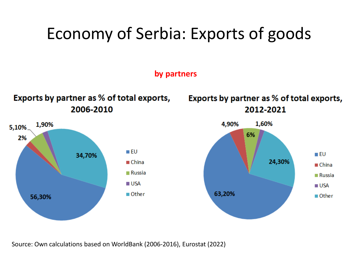### Economy of Serbia: Exports of goods

**by partners**

#### Exports by partner as % of total exports, 2006-2010



#### Exports by partner as % of total exports, 2012-2021



Source: Own calculations based on WorldBank (2006-2016), Eurostat (2022)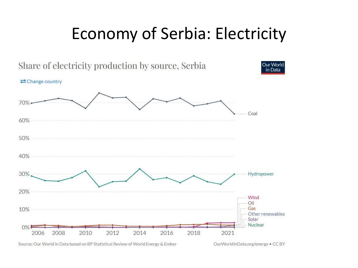## Economy of Serbia: Electricity



Source: Our World in Data based on BP Statistical Review of World Energy & Ember

OurWorldInData.org/energy . CC BY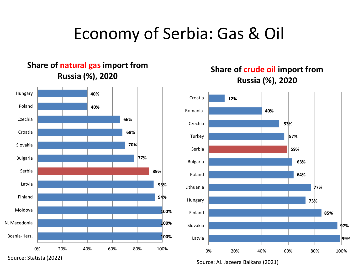### Economy of Serbia: Gas & Oil

#### **Share of natural gas import from Russia (%), 2020**



#### **Share of crude oil import from Russia (%), 2020**



Source: Al. Jazeera Balkans (2021)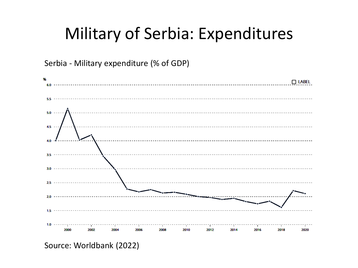#### Military of Serbia: Expenditures

Serbia - Military expenditure (% of GDP)



Source: Worldbank (2022)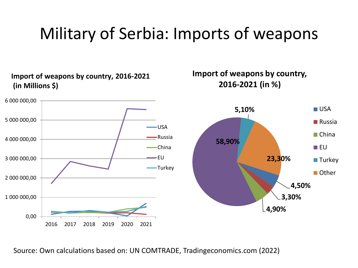### Military of Serbia: Imports of weapons

**Import of weapons by country, 2016-2021 (in Millions \$)**

**Import of weapons by country, 2016-2021 (in %)**



Source: Own calculations based on: UN COMTRADE, Tradingeconomics.com (2022)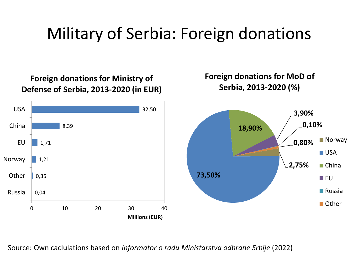### Military of Serbia: Foreign donations



Source: Own caclulations based on *Informator o radu Ministarstva odbrane Srbije* (2022)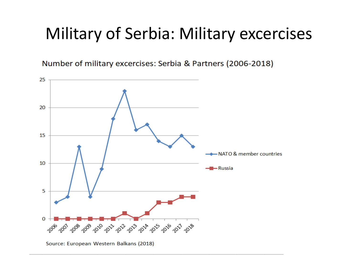#### Military of Serbia: Military excercises

Number of military excercises: Serbia & Partners (2006-2018)

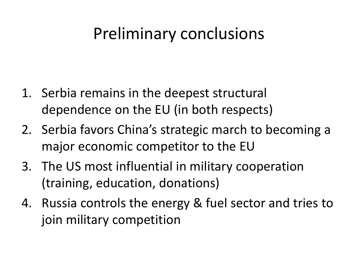#### Preliminary conclusions

- 1. Serbia remains in the deepest structural dependence on the EU (in both respects)
- 2. Serbia favors China's strategic march to becoming a major economic competitor to the EU
- 3. The US most influential in military cooperation (training, education, donations)
- 4. Russia controls the energy & fuel sector and tries to join military competition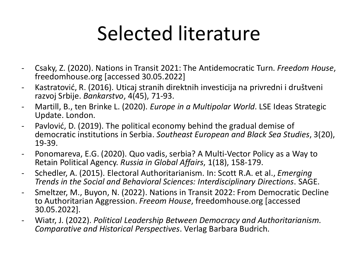# Selected literature

- Csaky, Z. (2020). Nations in Transit 2021: The Antidemocratic Turn. *Freedom House*, freedomhouse.org [accessed 30.05.2022]
- Kastratović, R. (2016). Uticaj stranih direktnih investicija na privredni i društveni razvoj Srbije. *Bankarstvo*, 4(45), 71-93.
- Martill, B., ten Brinke L. (2020). *Europe in a Multipolar World*. LSE Ideas Strategic Update. London.
- Pavlović, D. (2019). The political economy behind the gradual demise of democratic institutions in Serbia. *Southeast European and Black Sea Studies*, 3(20), 19-39.
- Ponomareva, E.G. (2020). Quo vadis, serbia? A Multi-Vector Policy as a Way to Retain Political Agency. *Russia in Global Affairs*, 1(18), 158-179.
- Schedler, A. (2015). Electoral Authoritarianism. In: Scott R.A. et al., *Emerging Trends in the Social and Behavioral Sciences: Interdisciplinary Directions*. SAGE.
- Smeltzer, M., Buyon, N. (2022). Nations in Transit 2022: From Democratic Decline to Authoritarian Aggression. *Freeom House*, freedomhouse.org [accessed 30.05.2022].
- Wiatr, J. (2022). *Political Leadership Between Democracy and Authoritarianism. Comparative and Historical Perspectives*. Verlag Barbara Budrich.